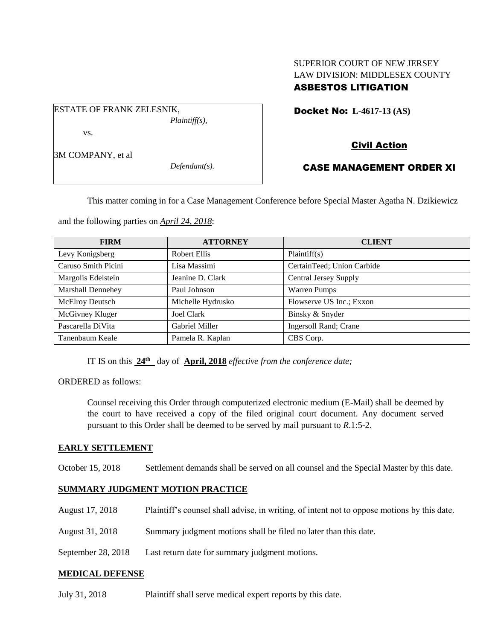# SUPERIOR COURT OF NEW JERSEY LAW DIVISION: MIDDLESEX COUNTY ASBESTOS LITIGATION

Docket No: **L-4617-13 (AS)** 

# Civil Action

# CASE MANAGEMENT ORDER XI

This matter coming in for a Case Management Conference before Special Master Agatha N. Dzikiewicz

and the following parties on *April 24, 2018*:

*Plaintiff(s),*

*Defendant(s).*

ESTATE OF FRANK ZELESNIK,

vs.

3M COMPANY, et al

| <b>FIRM</b>              | <b>ATTORNEY</b>   | <b>CLIENT</b>              |
|--------------------------|-------------------|----------------------------|
| Levy Konigsberg          | Robert Ellis      | Plaintiff(s)               |
| Caruso Smith Picini      | Lisa Massimi      | CertainTeed; Union Carbide |
| Margolis Edelstein       | Jeanine D. Clark  | Central Jersey Supply      |
| <b>Marshall Dennehey</b> | Paul Johnson      | <b>Warren Pumps</b>        |
| McElroy Deutsch          | Michelle Hydrusko | Flowserve US Inc.; Exxon   |
| McGivney Kluger          | Joel Clark        | Binsky & Snyder            |
| Pascarella DiVita        | Gabriel Miller    | Ingersoll Rand; Crane      |
| Tanenbaum Keale          | Pamela R. Kaplan  | CBS Corp.                  |

IT IS on this **24th** day of **April, 2018** *effective from the conference date;*

ORDERED as follows:

Counsel receiving this Order through computerized electronic medium (E-Mail) shall be deemed by the court to have received a copy of the filed original court document. Any document served pursuant to this Order shall be deemed to be served by mail pursuant to *R*.1:5-2.

### **EARLY SETTLEMENT**

October 15, 2018 Settlement demands shall be served on all counsel and the Special Master by this date.

### **SUMMARY JUDGMENT MOTION PRACTICE**

- August 17, 2018 Plaintiff's counsel shall advise, in writing, of intent not to oppose motions by this date.
- August 31, 2018 Summary judgment motions shall be filed no later than this date.
- September 28, 2018 Last return date for summary judgment motions.

### **MEDICAL DEFENSE**

July 31, 2018 Plaintiff shall serve medical expert reports by this date.